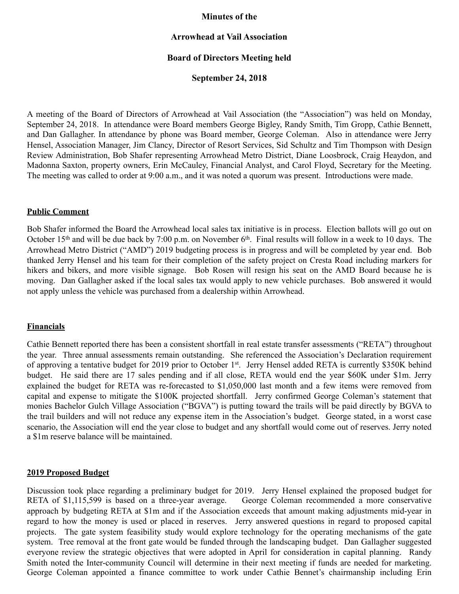### **Minutes of the**

## **Arrowhead at Vail Association**

## **Board of Directors Meeting held**

### **September 24, 2018**

A meeting of the Board of Directors of Arrowhead at Vail Association (the "Association") was held on Monday, September 24, 2018. In attendance were Board members George Bigley, Randy Smith, Tim Gropp, Cathie Bennett, and Dan Gallagher. In attendance by phone was Board member, George Coleman. Also in attendance were Jerry Hensel, Association Manager, Jim Clancy, Director of Resort Services, Sid Schultz and Tim Thompson with Design Review Administration, Bob Shafer representing Arrowhead Metro District, Diane Loosbrock, Craig Heaydon, and Madonna Saxton, property owners, Erin McCauley, Financial Analyst, and Carol Floyd, Secretary for the Meeting. The meeting was called to order at 9:00 a.m., and it was noted a quorum was present. Introductions were made.

#### **Public Comment**

Bob Shafer informed the Board the Arrowhead local sales tax initiative is in process. Election ballots will go out on October 15<sup>th</sup> and will be due back by 7:00 p.m. on November 6<sup>th</sup>. Final results will follow in a week to 10 days. The Arrowhead Metro District ("AMD") 2019 budgeting process is in progress and will be completed by year end. Bob thanked Jerry Hensel and his team for their completion of the safety project on Cresta Road including markers for hikers and bikers, and more visible signage. Bob Rosen will resign his seat on the AMD Board because he is moving. Dan Gallagher asked if the local sales tax would apply to new vehicle purchases. Bob answered it would not apply unless the vehicle was purchased from a dealership within Arrowhead.

#### **Financials**

Cathie Bennett reported there has been a consistent shortfall in real estate transfer assessments ("RETA") throughout the year. Three annual assessments remain outstanding. She referenced the Association's Declaration requirement of approving a tentative budget for 2019 prior to October 1st. Jerry Hensel added RETA is currently \$350K behind budget. He said there are 17 sales pending and if all close, RETA would end the year \$60K under \$1m. Jerry explained the budget for RETA was re-forecasted to \$1,050,000 last month and a few items were removed from capital and expense to mitigate the \$100K projected shortfall. Jerry confirmed George Coleman's statement that monies Bachelor Gulch Village Association ("BGVA") is putting toward the trails will be paid directly by BGVA to the trail builders and will not reduce any expense item in the Association's budget. George stated, in a worst case scenario, the Association will end the year close to budget and any shortfall would come out of reserves. Jerry noted a \$1m reserve balance will be maintained.

### **2019 Proposed Budget**

Discussion took place regarding a preliminary budget for 2019. Jerry Hensel explained the proposed budget for RETA of \$1,115,599 is based on a three-year average. George Coleman recommended a more conservative approach by budgeting RETA at \$1m and if the Association exceeds that amount making adjustments mid-year in regard to how the money is used or placed in reserves. Jerry answered questions in regard to proposed capital projects. The gate system feasibility study would explore technology for the operating mechanisms of the gate system. Tree removal at the front gate would be funded through the landscaping budget. Dan Gallagher suggested everyone review the strategic objectives that were adopted in April for consideration in capital planning. Randy Smith noted the Inter-community Council will determine in their next meeting if funds are needed for marketing. George Coleman appointed a finance committee to work under Cathie Bennet's chairmanship including Erin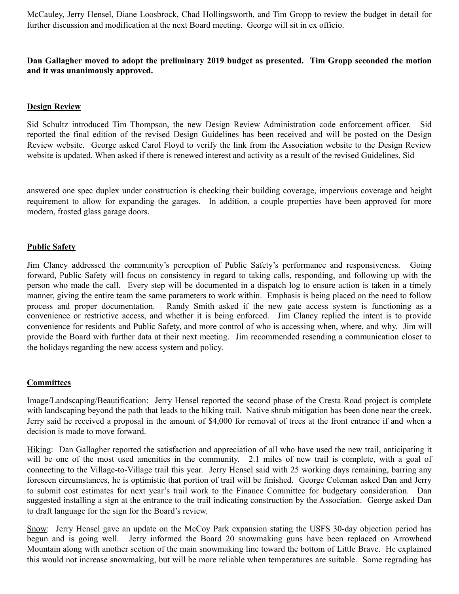McCauley, Jerry Hensel, Diane Loosbrock, Chad Hollingsworth, and Tim Gropp to review the budget in detail for further discussion and modification at the next Board meeting. George will sit in ex officio.

# **Dan Gallagher moved to adopt the preliminary 2019 budget as presented. Tim Gropp seconded the motion and it was unanimously approved.**

### **Design Review**

Sid Schultz introduced Tim Thompson, the new Design Review Administration code enforcement officer. Sid reported the final edition of the revised Design Guidelines has been received and will be posted on the Design Review website. George asked Carol Floyd to verify the link from the Association website to the Design Review website is updated. When asked if there is renewed interest and activity as a result of the revised Guidelines, Sid

answered one spec duplex under construction is checking their building coverage, impervious coverage and height requirement to allow for expanding the garages. In addition, a couple properties have been approved for more modern, frosted glass garage doors.

### **Public Safety**

Jim Clancy addressed the community's perception of Public Safety's performance and responsiveness. Going forward, Public Safety will focus on consistency in regard to taking calls, responding, and following up with the person who made the call. Every step will be documented in a dispatch log to ensure action is taken in a timely manner, giving the entire team the same parameters to work within. Emphasis is being placed on the need to follow process and proper documentation. Randy Smith asked if the new gate access system is functioning as a convenience or restrictive access, and whether it is being enforced. Jim Clancy replied the intent is to provide convenience for residents and Public Safety, and more control of who is accessing when, where, and why. Jim will provide the Board with further data at their next meeting. Jim recommended resending a communication closer to the holidays regarding the new access system and policy.

## **Committees**

Image/Landscaping/Beautification: Jerry Hensel reported the second phase of the Cresta Road project is complete with landscaping beyond the path that leads to the hiking trail. Native shrub mitigation has been done near the creek. Jerry said he received a proposal in the amount of \$4,000 for removal of trees at the front entrance if and when a decision is made to move forward.

Hiking: Dan Gallagher reported the satisfaction and appreciation of all who have used the new trail, anticipating it will be one of the most used amenities in the community. 2.1 miles of new trail is complete, with a goal of connecting to the Village-to-Village trail this year. Jerry Hensel said with 25 working days remaining, barring any foreseen circumstances, he is optimistic that portion of trail will be finished. George Coleman asked Dan and Jerry to submit cost estimates for next year's trail work to the Finance Committee for budgetary consideration. Dan suggested installing a sign at the entrance to the trail indicating construction by the Association. George asked Dan to draft language for the sign for the Board's review.

Snow: Jerry Hensel gave an update on the McCoy Park expansion stating the USFS 30-day objection period has begun and is going well. Jerry informed the Board 20 snowmaking guns have been replaced on Arrowhead Mountain along with another section of the main snowmaking line toward the bottom of Little Brave. He explained this would not increase snowmaking, but will be more reliable when temperatures are suitable. Some regrading has